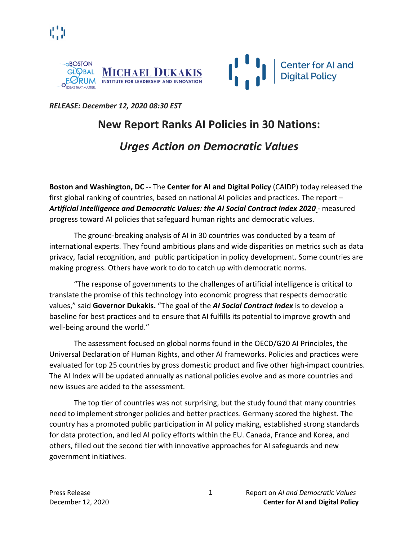





*RELEASE: December 12, 2020 08:30 EST*

# **New Report Ranks AI Policies in 30 Nations:**

# *Urges Action on Democratic Values*

**Boston and Washington, DC** -- The **Center for AI and Digital Policy** (CAIDP) today released the first global ranking of countries, based on national AI policies and practices. The report – *Artificial Intelligence and Democratic Values: the AI Social Contract Index 2020* - measured progress toward AI policies that safeguard human rights and democratic values.

The ground-breaking analysis of AI in 30 countries was conducted by a team of international experts. They found ambitious plans and wide disparities on metrics such as data privacy, facial recognition, and public participation in policy development. Some countries are making progress. Others have work to do to catch up with democratic norms.

"The response of governments to the challenges of artificial intelligence is critical to translate the promise of this technology into economic progress that respects democratic values," said **Governor Dukakis.** "The goal of the *AI Social Contract Index* is to develop a baseline for best practices and to ensure that AI fulfills its potential to improve growth and well-being around the world."

The assessment focused on global norms found in the OECD/G20 AI Principles, the Universal Declaration of Human Rights, and other AI frameworks. Policies and practices were evaluated for top 25 countries by gross domestic product and five other high-impact countries. The AI Index will be updated annually as national policies evolve and as more countries and new issues are added to the assessment.

The top tier of countries was not surprising, but the study found that many countries need to implement stronger policies and better practices. Germany scored the highest. The country has a promoted public participation in AI policy making, established strong standards for data protection, and led AI policy efforts within the EU. Canada, France and Korea, and others, filled out the second tier with innovative approaches for AI safeguards and new government initiatives.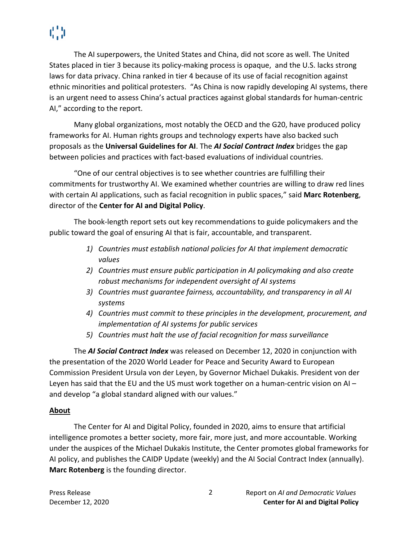The AI superpowers, the United States and China, did not score as well. The United States placed in tier 3 because its policy-making process is opaque, and the U.S. lacks strong laws for data privacy. China ranked in tier 4 because of its use of facial recognition against ethnic minorities and political protesters. "As China is now rapidly developing AI systems, there is an urgent need to assess China's actual practices against global standards for human-centric AI," according to the report.

Many global organizations, most notably the OECD and the G20, have produced policy frameworks for AI. Human rights groups and technology experts have also backed such proposals as the **Universal Guidelines for AI**. The *AI Social Contract Index* bridges the gap between policies and practices with fact-based evaluations of individual countries.

"One of our central objectives is to see whether countries are fulfilling their commitments for trustworthy AI. We examined whether countries are willing to draw red lines with certain AI applications, such as facial recognition in public spaces," said **Marc Rotenberg**, director of the **Center for AI and Digital Policy**.

The book-length report sets out key recommendations to guide policymakers and the public toward the goal of ensuring AI that is fair, accountable, and transparent.

- *1) Countries must establish national policies for AI that implement democratic values*
- *2) Countries must ensure public participation in AI policymaking and also create robust mechanisms for independent oversight of AI systems*
- *3) Countries must guarantee fairness, accountability, and transparency in all AI systems*
- *4) Countries must commit to these principles in the development, procurement, and implementation of AI systems for public services*
- *5) Countries must halt the use of facial recognition for mass surveillance*

The *AI Social Contract Index* was released on December 12, 2020 in conjunction with the presentation of the 2020 World Leader for Peace and Security Award to European Commission President Ursula von der Leyen, by Governor Michael Dukakis. President von der Leyen has said that the EU and the US must work together on a human-centric vision on AI – and develop "a global standard aligned with our values."

## **About**

The Center for AI and Digital Policy, founded in 2020, aims to ensure that artificial intelligence promotes a better society, more fair, more just, and more accountable. Working under the auspices of the Michael Dukakis Institute, the Center promotes global frameworks for AI policy, and publishes the CAIDP Update (weekly) and the AI Social Contract Index (annually). **Marc Rotenberg** is the founding director.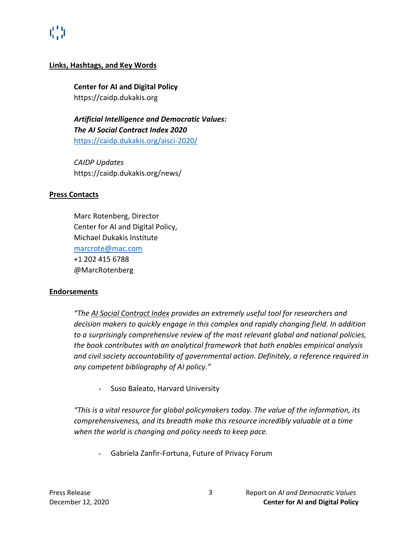## **Links, Hashtags, and Key Words**

**Center for AI and Digital Policy** https://caidp.dukakis.org

*Artificial Intelligence and Democratic Values: The AI Social Contract Index 2020* https://caidp.dukakis.org/aisci-2020/

*CAIDP Updates* https://caidp.dukakis.org/news/

### **Press Contacts**

Marc Rotenberg, Director Center for AI and Digital Policy, Michael Dukakis Institute marcrote@mac.com +1 202 415 6788 @MarcRotenberg

### **Endorsements**

*"The AI Social Contract Index provides an extremely useful tool for researchers and decision makers to quickly engage in this complex and rapidly changing field. In addition to a surprisingly comprehensive review of the most relevant global and national policies, the book contributes with an analytical framework that both enables empirical analysis and civil society accountability of governmental action. Definitely, a reference required in any competent bibliography of AI policy."*

- Suso Baleato, Harvard University

*"This is a vital resource for global policymakers today. The value of the information, its comprehensiveness, and its breadth make this resource incredibly valuable at a time when the world is changing and policy needs to keep pace.*

- Gabriela Zanfir-Fortuna, Future of Privacy Forum